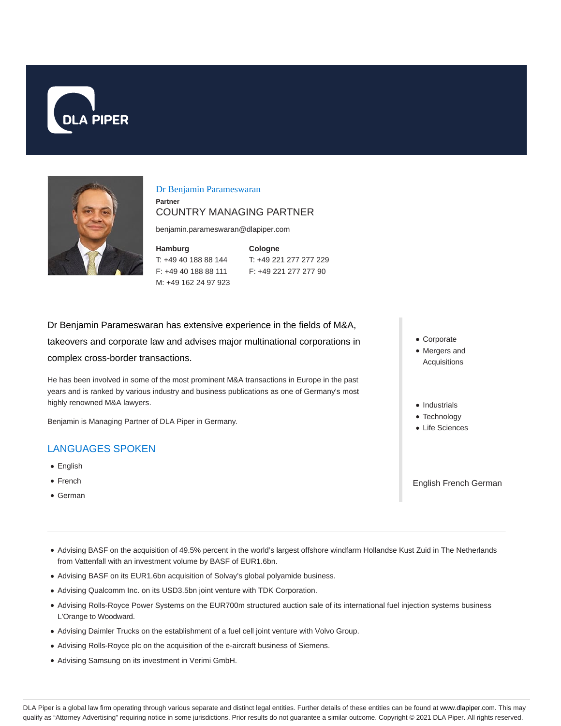



## Dr Benjamin Parameswaran

## **Partner** COUNTRY MANAGING PARTNER

benjamin.parameswaran@dlapiper.com

**Hamburg** T: +49 40 188 88 144 F: +49 40 188 88 111 M: +49 162 24 97 923

**Cologne** T: +49 221 277 277 229 F: +49 221 277 277 90

Dr Benjamin Parameswaran has extensive experience in the fields of M&A, takeovers and corporate law and advises major multinational corporations in complex cross-border transactions.

He has been involved in some of the most prominent M&A transactions in Europe in the past years and is ranked by various industry and business publications as one of Germany's most highly renowned M&A lawyers.

Benjamin is Managing Partner of DLA Piper in Germany.

# LANGUAGES SPOKEN

- English
- French
- German
- Corporate • Mergers and Acquisitions
- Industrials
- Technology
- Life Sciences

English French German

- Advising BASF on the acquisition of 49.5% percent in the world's largest offshore windfarm Hollandse Kust Zuid in The Netherlands from Vattenfall with an investment volume by BASF of EUR1.6bn.
- Advising BASF on its EUR1.6bn acquisition of Solvay's global polyamide business.
- Advising Qualcomm Inc. on its USD3.5bn joint venture with TDK Corporation.
- Advising Rolls-Royce Power Systems on the EUR700m structured auction sale of its international fuel injection systems business L'Orange to Woodward.
- Advising Daimler Trucks on the establishment of a fuel cell joint venture with Volvo Group.
- Advising Rolls-Royce plc on the acquisition of the e-aircraft business of Siemens.
- Advising Samsung on its investment in Verimi GmbH.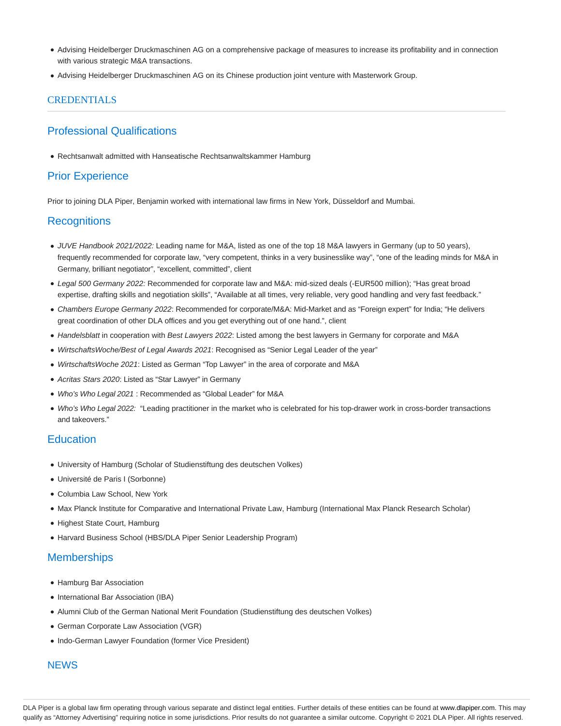- Advising Heidelberger Druckmaschinen AG on a comprehensive package of measures to increase its profitability and in connection with various strategic M&A transactions.
- Advising Heidelberger Druckmaschinen AG on its Chinese production joint venture with Masterwork Group.

## **CREDENTIALS**

# Professional Qualifications

Rechtsanwalt admitted with Hanseatische Rechtsanwaltskammer Hamburg

# Prior Experience

Prior to joining DLA Piper, Benjamin worked with international law firms in New York, Düsseldorf and Mumbai.

## **Recognitions**

- JUVE Handbook 2021/2022: Leading name for M&A, listed as one of the top 18 M&A lawyers in Germany (up to 50 years), frequently recommended for corporate law, "very competent, thinks in a very businesslike way", "one of the leading minds for M&A in Germany, brilliant negotiator", "excellent, committed", client
- Legal 500 Germany 2022: Recommended for corporate law and M&A: mid-sized deals (-EUR500 million); "Has great broad expertise, drafting skills and negotiation skills", "Available at all times, very reliable, very good handling and very fast feedback."
- Chambers Europe Germany 2022: Recommended for corporate/M&A: Mid-Market and as "Foreign expert" for India; "He delivers great coordination of other DLA offices and you get everything out of one hand.", client
- Handelsblatt in cooperation with Best Lawyers 2022: Listed among the best lawyers in Germany for corporate and M&A
- WirtschaftsWoche/Best of Legal Awards 2021: Recognised as "Senior Legal Leader of the year"
- WirtschaftsWoche 2021: Listed as German "Top Lawyer" in the area of corporate and M&A
- Acritas Stars 2020: Listed as "Star Lawyer" in Germany
- Who's Who Legal 2021 : Recommended as "Global Leader" for M&A
- Who's Who Legal 2022: "Leading practitioner in the market who is celebrated for his top-drawer work in cross-border transactions and takeovers."

## **Education**

- University of Hamburg (Scholar of Studienstiftung des deutschen Volkes)
- Université de Paris I (Sorbonne)
- Columbia Law School, New York
- Max Planck Institute for Comparative and International Private Law, Hamburg (International Max Planck Research Scholar)
- Highest State Court, Hamburg
- Harvard Business School (HBS/DLA Piper Senior Leadership Program)

## **Memberships**

- Hamburg Bar Association
- International Bar Association (IBA)
- Alumni Club of the German National Merit Foundation (Studienstiftung des deutschen Volkes)
- German Corporate Law Association (VGR)
- Indo-German Lawyer Foundation (former Vice President)

## **NEWS**

DLA Piper is a global law firm operating through various separate and distinct legal entities. Further details of these entities can be found at www.dlapiper.com. This may qualify as "Attorney Advertising" requiring notice in some jurisdictions. Prior results do not guarantee a similar outcome. Copyright © 2021 DLA Piper. All rights reserved.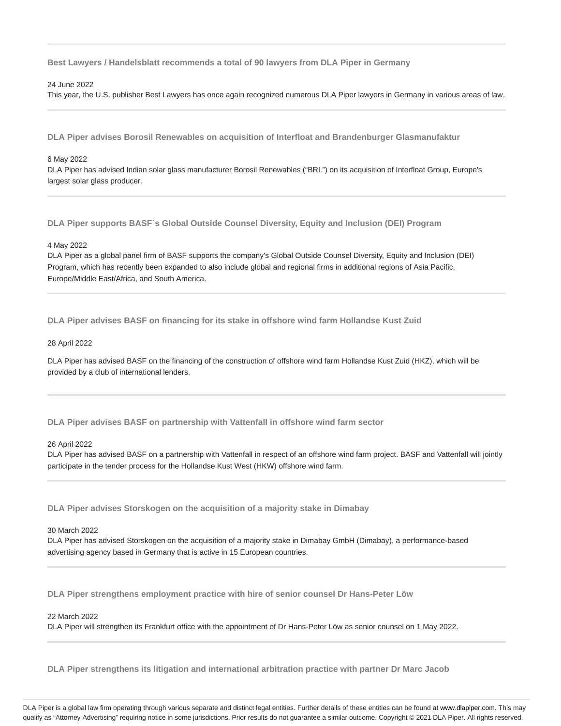**Best Lawyers / Handelsblatt recommends a total of 90 lawyers from DLA Piper in Germany**

### 24 June 2022

This year, the U.S. publisher Best Lawyers has once again recognized numerous DLA Piper lawyers in Germany in various areas of law.

**DLA Piper advises Borosil Renewables on acquisition of Interfloat and Brandenburger Glasmanufaktur**

#### 6 May 2022

DLA Piper has advised Indian solar glass manufacturer Borosil Renewables ("BRL") on its acquisition of Interfloat Group, Europe's largest solar glass producer.

**DLA Piper supports BASF´s Global Outside Counsel Diversity, Equity and Inclusion (DEI) Program**

#### 4 May 2022

DLA Piper as a global panel firm of BASF supports the company's Global Outside Counsel Diversity, Equity and Inclusion (DEI) Program, which has recently been expanded to also include global and regional firms in additional regions of Asia Pacific, Europe/Middle East/Africa, and South America.

**DLA Piper advises BASF on financing for its stake in offshore wind farm Hollandse Kust Zuid**

## 28 April 2022

DLA Piper has advised BASF on the financing of the construction of offshore wind farm Hollandse Kust Zuid (HKZ), which will be provided by a club of international lenders.

**DLA Piper advises BASF on partnership with Vattenfall in offshore wind farm sector**

#### 26 April 2022

DLA Piper has advised BASF on a partnership with Vattenfall in respect of an offshore wind farm project. BASF and Vattenfall will jointly participate in the tender process for the Hollandse Kust West (HKW) offshore wind farm.

**DLA Piper advises Storskogen on the acquisition of a majority stake in Dimabay**

#### 30 March 2022

DLA Piper has advised Storskogen on the acquisition of a majority stake in Dimabay GmbH (Dimabay), a performance-based advertising agency based in Germany that is active in 15 European countries.

**DLA Piper strengthens employment practice with hire of senior counsel Dr Hans-Peter Löw**

#### 22 March 2022

DLA Piper will strengthen its Frankfurt office with the appointment of Dr Hans-Peter Löw as senior counsel on 1 May 2022.

**DLA Piper strengthens its litigation and international arbitration practice with partner Dr Marc Jacob**

DLA Piper is a global law firm operating through various separate and distinct legal entities. Further details of these entities can be found at www.dlapiper.com. This may qualify as "Attorney Advertising" requiring notice in some jurisdictions. Prior results do not guarantee a similar outcome. Copyright @ 2021 DLA Piper. All rights reserved.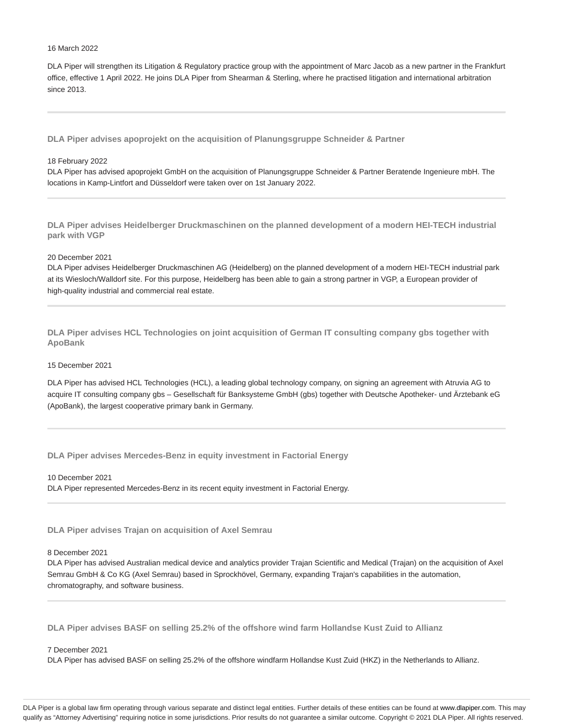#### 16 March 2022

DLA Piper will strengthen its Litigation & Regulatory practice group with the appointment of Marc Jacob as a new partner in the Frankfurt office, effective 1 April 2022. He joins DLA Piper from Shearman & Sterling, where he practised litigation and international arbitration since 2013.

**DLA Piper advises apoprojekt on the acquisition of Planungsgruppe Schneider & Partner**

### 18 February 2022

DLA Piper has advised apoprojekt GmbH on the acquisition of Planungsgruppe Schneider & Partner Beratende Ingenieure mbH. The locations in Kamp-Lintfort and Düsseldorf were taken over on 1st January 2022.

**DLA Piper advises Heidelberger Druckmaschinen on the planned development of a modern HEI-TECH industrial park with VGP**

## 20 December 2021

DLA Piper advises Heidelberger Druckmaschinen AG (Heidelberg) on the planned development of a modern HEI-TECH industrial park at its Wiesloch/Walldorf site. For this purpose, Heidelberg has been able to gain a strong partner in VGP, a European provider of high-quality industrial and commercial real estate.

**DLA Piper advises HCL Technologies on joint acquisition of German IT consulting company gbs together with ApoBank**

#### 15 December 2021

DLA Piper has advised HCL Technologies (HCL), a leading global technology company, on signing an agreement with Atruvia AG to acquire IT consulting company gbs – Gesellschaft für Banksysteme GmbH (gbs) together with Deutsche Apotheker- und Ärztebank eG (ApoBank), the largest cooperative primary bank in Germany.

**DLA Piper advises Mercedes-Benz in equity investment in Factorial Energy**

10 December 2021 DLA Piper represented Mercedes-Benz in its recent equity investment in Factorial Energy.

**DLA Piper advises Trajan on acquisition of Axel Semrau**

## 8 December 2021

DLA Piper has advised Australian medical device and analytics provider Trajan Scientific and Medical (Trajan) on the acquisition of Axel Semrau GmbH & Co KG (Axel Semrau) based in Sprockhövel, Germany, expanding Trajan's capabilities in the automation, chromatography, and software business.

**DLA Piper advises BASF on selling 25.2% of the offshore wind farm Hollandse Kust Zuid to Allianz**

#### 7 December 2021

DLA Piper has advised BASF on selling 25.2% of the offshore windfarm Hollandse Kust Zuid (HKZ) in the Netherlands to Allianz.

DLA Piper is a global law firm operating through various separate and distinct legal entities. Further details of these entities can be found at www.dlapiper.com. This may qualify as "Attorney Advertising" requiring notice in some jurisdictions. Prior results do not guarantee a similar outcome. Copyright @ 2021 DLA Piper. All rights reserved.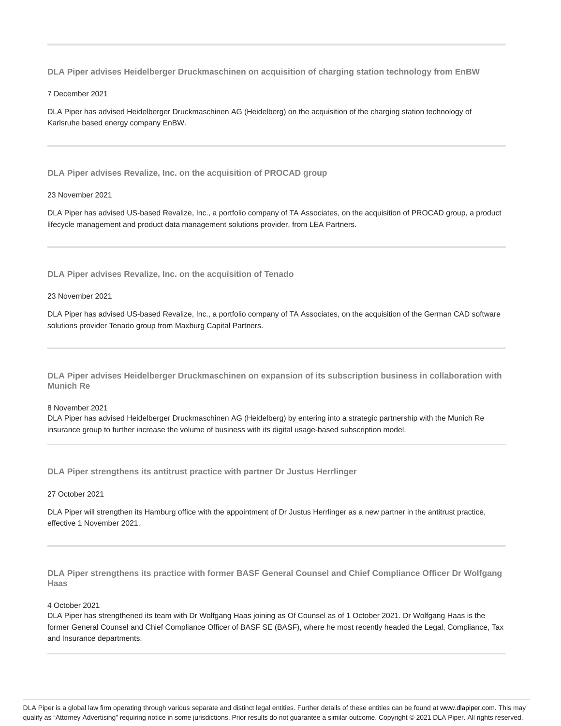**DLA Piper advises Heidelberger Druckmaschinen on acquisition of charging station technology from EnBW**

7 December 2021

DLA Piper has advised Heidelberger Druckmaschinen AG (Heidelberg) on the acquisition of the charging station technology of Karlsruhe based energy company EnBW.

**DLA Piper advises Revalize, Inc. on the acquisition of PROCAD group**

#### 23 November 2021

DLA Piper has advised US-based Revalize, Inc., a portfolio company of TA Associates, on the acquisition of PROCAD group, a product lifecycle management and product data management solutions provider, from LEA Partners.

**DLA Piper advises Revalize, Inc. on the acquisition of Tenado**

## 23 November 2021

DLA Piper has advised US-based Revalize, Inc., a portfolio company of TA Associates, on the acquisition of the German CAD software solutions provider Tenado group from Maxburg Capital Partners.

**DLA Piper advises Heidelberger Druckmaschinen on expansion of its subscription business in collaboration with Munich Re**

## 8 November 2021

DLA Piper has advised Heidelberger Druckmaschinen AG (Heidelberg) by entering into a strategic partnership with the Munich Re insurance group to further increase the volume of business with its digital usage-based subscription model.

**DLA Piper strengthens its antitrust practice with partner Dr Justus Herrlinger**

## 27 October 2021

DLA Piper will strengthen its Hamburg office with the appointment of Dr Justus Herrlinger as a new partner in the antitrust practice, effective 1 November 2021.

**DLA Piper strengthens its practice with former BASF General Counsel and Chief Compliance Officer Dr Wolfgang Haas**

## 4 October 2021

DLA Piper has strengthened its team with Dr Wolfgang Haas joining as Of Counsel as of 1 October 2021. Dr Wolfgang Haas is the former General Counsel and Chief Compliance Officer of BASF SE (BASF), where he most recently headed the Legal, Compliance, Tax and Insurance departments.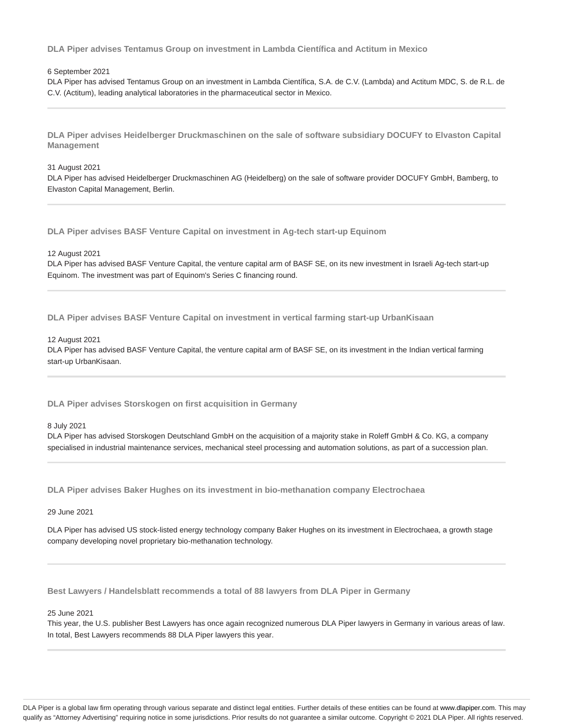**DLA Piper advises Tentamus Group on investment in Lambda Científica and Actitum in Mexico**

## 6 September 2021

DLA Piper has advised Tentamus Group on an investment in Lambda Científica, S.A. de C.V. (Lambda) and Actitum MDC, S. de R.L. de C.V. (Actitum), leading analytical laboratories in the pharmaceutical sector in Mexico.

**DLA Piper advises Heidelberger Druckmaschinen on the sale of software subsidiary DOCUFY to Elvaston Capital Management**

## 31 August 2021

DLA Piper has advised Heidelberger Druckmaschinen AG (Heidelberg) on the sale of software provider DOCUFY GmbH, Bamberg, to Elvaston Capital Management, Berlin.

**DLA Piper advises BASF Venture Capital on investment in Ag-tech start-up Equinom**

#### 12 August 2021

DLA Piper has advised BASF Venture Capital, the venture capital arm of BASF SE, on its new investment in Israeli Ag-tech start-up Equinom. The investment was part of Equinom's Series C financing round.

**DLA Piper advises BASF Venture Capital on investment in vertical farming start-up UrbanKisaan**

#### 12 August 2021

DLA Piper has advised BASF Venture Capital, the venture capital arm of BASF SE, on its investment in the Indian vertical farming start-up UrbanKisaan.

**DLA Piper advises Storskogen on first acquisition in Germany**

## 8 July 2021

DLA Piper has advised Storskogen Deutschland GmbH on the acquisition of a majority stake in Roleff GmbH & Co. KG, a company specialised in industrial maintenance services, mechanical steel processing and automation solutions, as part of a succession plan.

**DLA Piper advises Baker Hughes on its investment in bio-methanation company Electrochaea**

## 29 June 2021

DLA Piper has advised US stock-listed energy technology company Baker Hughes on its investment in Electrochaea, a growth stage company developing novel proprietary bio-methanation technology.

**Best Lawyers / Handelsblatt recommends a total of 88 lawyers from DLA Piper in Germany**

### 25 June 2021

This year, the U.S. publisher Best Lawyers has once again recognized numerous DLA Piper lawyers in Germany in various areas of law. In total, Best Lawyers recommends 88 DLA Piper lawyers this year.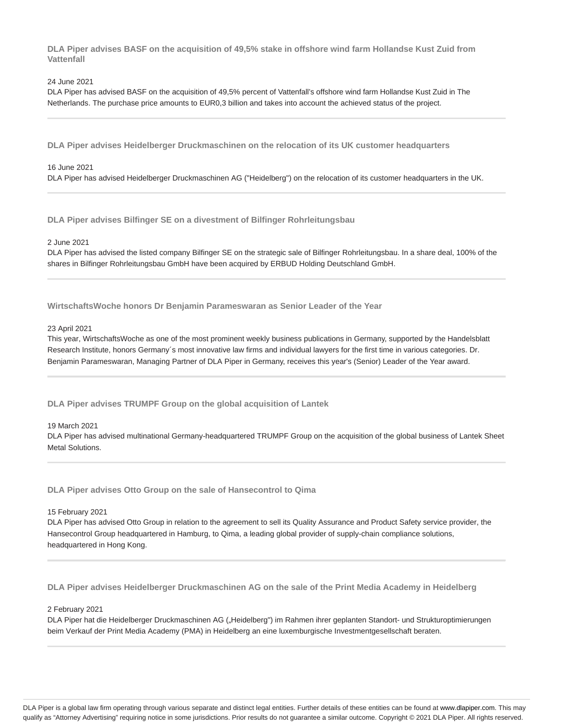**DLA Piper advises BASF on the acquisition of 49,5% stake in offshore wind farm Hollandse Kust Zuid from Vattenfall**

## 24 June 2021

DLA Piper has advised BASF on the acquisition of 49,5% percent of Vattenfall's offshore wind farm Hollandse Kust Zuid in The Netherlands. The purchase price amounts to EUR0,3 billion and takes into account the achieved status of the project.

**DLA Piper advises Heidelberger Druckmaschinen on the relocation of its UK customer headquarters**

## 16 June 2021

DLA Piper has advised Heidelberger Druckmaschinen AG ("Heidelberg") on the relocation of its customer headquarters in the UK.

**DLA Piper advises Bilfinger SE on a divestment of Bilfinger Rohrleitungsbau**

#### 2 June 2021

DLA Piper has advised the listed company Bilfinger SE on the strategic sale of Bilfinger Rohrleitungsbau. In a share deal, 100% of the shares in Bilfinger Rohrleitungsbau GmbH have been acquired by ERBUD Holding Deutschland GmbH.

**WirtschaftsWoche honors Dr Benjamin Parameswaran as Senior Leader of the Year**

#### 23 April 2021

This year, WirtschaftsWoche as one of the most prominent weekly business publications in Germany, supported by the Handelsblatt Research Institute, honors Germany´s most innovative law firms and individual lawyers for the first time in various categories. Dr. Benjamin Parameswaran, Managing Partner of DLA Piper in Germany, receives this year's (Senior) Leader of the Year award.

**DLA Piper advises TRUMPF Group on the global acquisition of Lantek**

#### 19 March 2021

DLA Piper has advised multinational Germany-headquartered TRUMPF Group on the acquisition of the global business of Lantek Sheet Metal Solutions.

**DLA Piper advises Otto Group on the sale of Hansecontrol to Qima**

#### 15 February 2021

DLA Piper has advised Otto Group in relation to the agreement to sell its Quality Assurance and Product Safety service provider, the Hansecontrol Group headquartered in Hamburg, to Qima, a leading global provider of supply-chain compliance solutions, headquartered in Hong Kong.

**DLA Piper advises Heidelberger Druckmaschinen AG on the sale of the Print Media Academy in Heidelberg**

#### 2 February 2021

DLA Piper hat die Heidelberger Druckmaschinen AG ("Heidelberg") im Rahmen ihrer geplanten Standort- und Strukturoptimierungen beim Verkauf der Print Media Academy (PMA) in Heidelberg an eine luxemburgische Investmentgesellschaft beraten.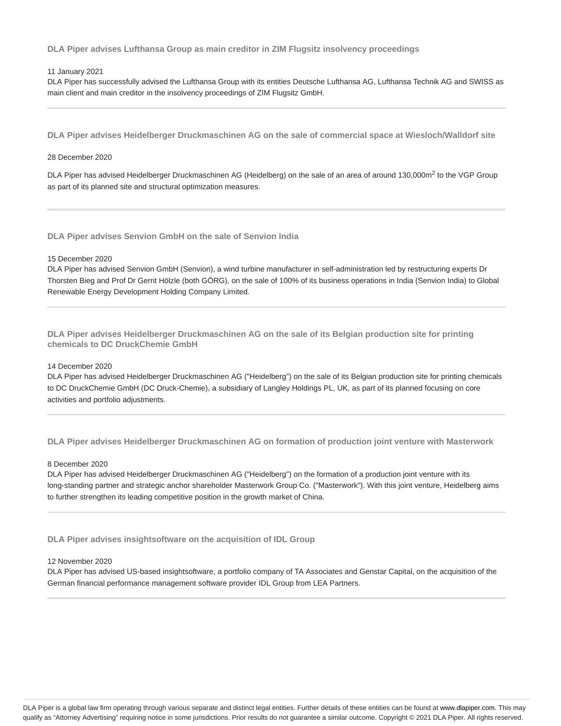**DLA Piper advises Lufthansa Group as main creditor in ZIM Flugsitz insolvency proceedings**

## 11 January 2021

DLA Piper has successfully advised the Lufthansa Group with its entities Deutsche Lufthansa AG, Lufthansa Technik AG and SWISS as main client and main creditor in the insolvency proceedings of ZIM Flugsitz GmbH.

**DLA Piper advises Heidelberger Druckmaschinen AG on the sale of commercial space at Wiesloch/Walldorf site**

### 28 December 2020

DLA Piper has advised Heidelberger Druckmaschinen AG (Heidelberg) on the sale of an area of around 130,000m<sup>2</sup> to the VGP Group as part of its planned site and structural optimization measures.

**DLA Piper advises Senvion GmbH on the sale of Senvion India**

#### 15 December 2020

DLA Piper has advised Senvion GmbH (Senvion), a wind turbine manufacturer in self-administration led by restructuring experts Dr Thorsten Bieg and Prof Dr Gerrit Hölzle (both GÖRG), on the sale of 100% of its business operations in India (Senvion India) to Global Renewable Energy Development Holding Company Limited.

**DLA Piper advises Heidelberger Druckmaschinen AG on the sale of its Belgian production site for printing chemicals to DC DruckChemie GmbH**

## 14 December 2020

DLA Piper has advised Heidelberger Druckmaschinen AG ("Heidelberg") on the sale of its Belgian production site for printing chemicals to DC DruckChemie GmbH (DC Druck-Chemie), a subsidiary of Langley Holdings PL, UK, as part of its planned focusing on core activities and portfolio adjustments.

**DLA Piper advises Heidelberger Druckmaschinen AG on formation of production joint venture with Masterwork**

#### 8 December 2020

DLA Piper has advised Heidelberger Druckmaschinen AG ("Heidelberg") on the formation of a production joint venture with its long-standing partner and strategic anchor shareholder Masterwork Group Co. ("Masterwork"). With this joint venture, Heidelberg aims to further strengthen its leading competitive position in the growth market of China.

**DLA Piper advises insightsoftware on the acquisition of IDL Group**

#### 12 November 2020

DLA Piper has advised US-based insightsoftware, a portfolio company of TA Associates and Genstar Capital, on the acquisition of the German financial performance management software provider IDL Group from LEA Partners.